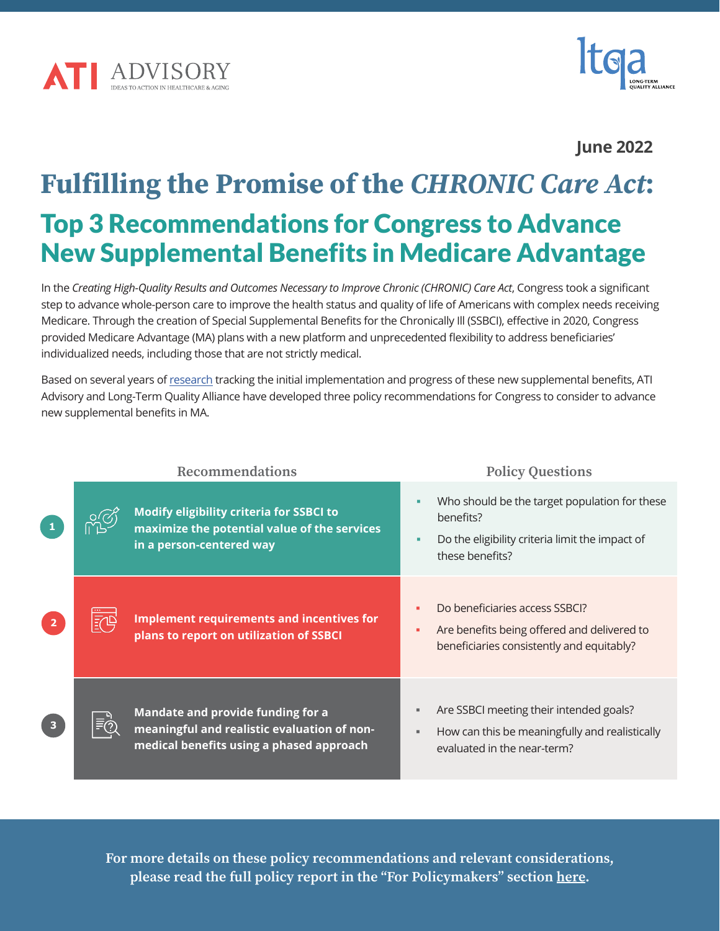



## **June 2022**

# Fulfilling the Promise of the *CHRONIC Care Act*: Top 3 Recommendations for Congress to Advance New Supplemental Benefits in Medicare Advantage

In the *Creating High-Quality Results and Outcomes Necessary to Improve Chronic (CHRONIC) Care Act*, Congress took a significant step to advance whole-person care to improve the health status and quality of life of Americans with complex needs receiving Medicare. Through the creation of Special Supplemental Benefits for the Chronically Ill (SSBCI), effective in 2020, Congress provided Medicare Advantage (MA) plans with a new platform and unprecedented flexibility to address beneficiaries' individualized needs, including those that are not strictly medical.

Based on several years of [research](https://atiadvisory.com/Advancing-Non-Medical-Supplemental-Benefits-in-Medicare-Advantage/) tracking the initial implementation and progress of these new supplemental benefits, ATI Advisory and Long-Term Quality Alliance have developed three policy recommendations for Congress to consider to advance new supplemental benefits in MA.

| <b>Recommendations</b> |        |                                                                                                                              | <b>Policy Questions</b>                                                                                                          |
|------------------------|--------|------------------------------------------------------------------------------------------------------------------------------|----------------------------------------------------------------------------------------------------------------------------------|
|                        | ಸ್ಥಿಲ್ | <b>Modify eligibility criteria for SSBCI to</b><br>maximize the potential value of the services<br>in a person-centered way  | Who should be the target population for these<br>benefits?<br>Do the eligibility criteria limit the impact of<br>these benefits? |
| $\overline{2}$         | 眩鸣     | Implement requirements and incentives for<br>plans to report on utilization of SSBCI                                         | Do beneficiaries access SSBCI?<br>Are benefits being offered and delivered to<br>beneficiaries consistently and equitably?       |
| 3 <sup>1</sup>         | ≣ිලා   | Mandate and provide funding for a<br>meaningful and realistic evaluation of non-<br>medical benefits using a phased approach | Are SSBCI meeting their intended goals?<br>How can this be meaningfully and realistically<br>evaluated in the near-term?         |

For more details on these policy recommendations and relevant considerations, please read the full policy report in the "For Policymakers" section [here.](https://atiadvisory.com/Advancing-Non-Medical-Supplemental-Benefits-in-Medicare-Advantage/)